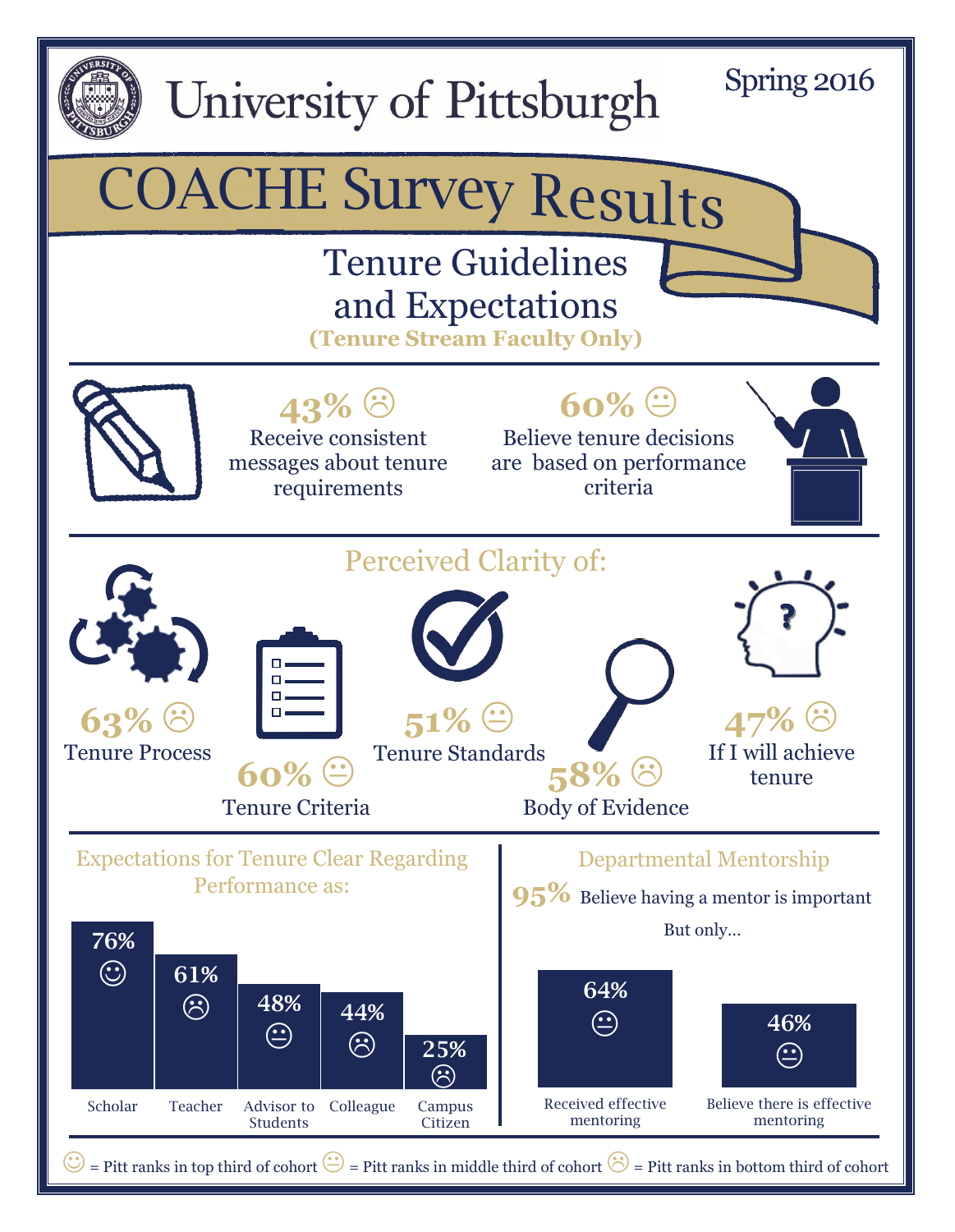